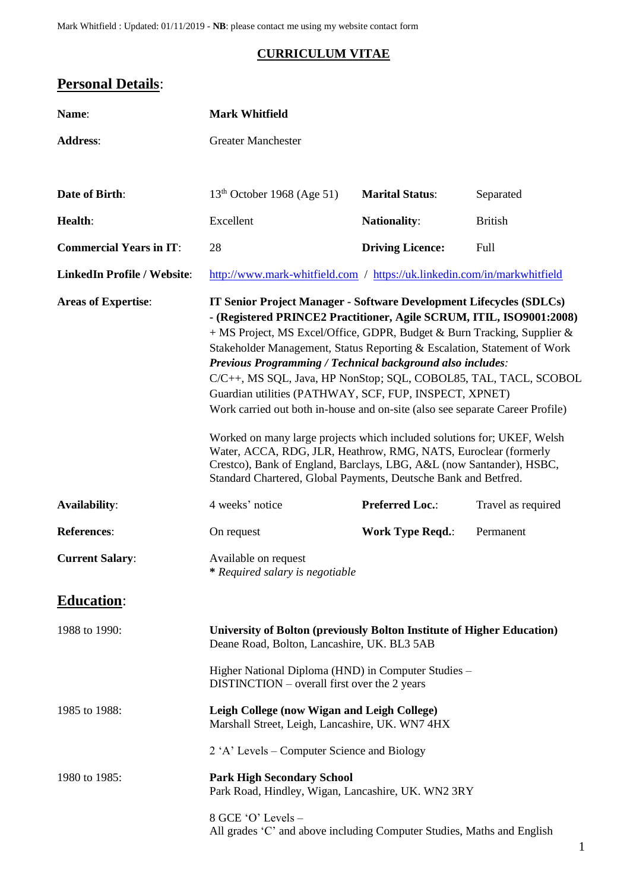Mark Whitfield : Updated: 01/11/2019 - **NB**: please contact me using my website contact form

# **CURRICULUM VITAE**

# **Personal Details**:

| Name:                              | <b>Mark Whitfield</b>                                                                                                                                                                                                                                                                                                                                                                                                                                                                                                                                                                                                                                                                                                                                                                                                                                                           |                         |                    |  |
|------------------------------------|---------------------------------------------------------------------------------------------------------------------------------------------------------------------------------------------------------------------------------------------------------------------------------------------------------------------------------------------------------------------------------------------------------------------------------------------------------------------------------------------------------------------------------------------------------------------------------------------------------------------------------------------------------------------------------------------------------------------------------------------------------------------------------------------------------------------------------------------------------------------------------|-------------------------|--------------------|--|
| <b>Address:</b>                    | <b>Greater Manchester</b>                                                                                                                                                                                                                                                                                                                                                                                                                                                                                                                                                                                                                                                                                                                                                                                                                                                       |                         |                    |  |
|                                    |                                                                                                                                                                                                                                                                                                                                                                                                                                                                                                                                                                                                                                                                                                                                                                                                                                                                                 |                         |                    |  |
| Date of Birth:                     | 13 <sup>th</sup> October 1968 (Age 51)                                                                                                                                                                                                                                                                                                                                                                                                                                                                                                                                                                                                                                                                                                                                                                                                                                          | <b>Marital Status:</b>  | Separated          |  |
| Health:                            | Excellent                                                                                                                                                                                                                                                                                                                                                                                                                                                                                                                                                                                                                                                                                                                                                                                                                                                                       | <b>Nationality:</b>     | <b>British</b>     |  |
| <b>Commercial Years in IT:</b>     | 28                                                                                                                                                                                                                                                                                                                                                                                                                                                                                                                                                                                                                                                                                                                                                                                                                                                                              | <b>Driving Licence:</b> | Full               |  |
| <b>LinkedIn Profile / Website:</b> | http://www.mark-whitfield.com / https://uk.linkedin.com/in/markwhitfield                                                                                                                                                                                                                                                                                                                                                                                                                                                                                                                                                                                                                                                                                                                                                                                                        |                         |                    |  |
| <b>Areas of Expertise:</b>         | <b>IT Senior Project Manager - Software Development Lifecycles (SDLCs)</b><br>- (Registered PRINCE2 Practitioner, Agile SCRUM, ITIL, ISO9001:2008)<br>+ MS Project, MS Excel/Office, GDPR, Budget & Burn Tracking, Supplier &<br>Stakeholder Management, Status Reporting & Escalation, Statement of Work<br>Previous Programming / Technical background also includes:<br>C/C++, MS SQL, Java, HP NonStop; SQL, COBOL85, TAL, TACL, SCOBOL<br>Guardian utilities (PATHWAY, SCF, FUP, INSPECT, XPNET)<br>Work carried out both in-house and on-site (also see separate Career Profile)<br>Worked on many large projects which included solutions for; UKEF, Welsh<br>Water, ACCA, RDG, JLR, Heathrow, RMG, NATS, Euroclear (formerly<br>Crestco), Bank of England, Barclays, LBG, A&L (now Santander), HSBC,<br>Standard Chartered, Global Payments, Deutsche Bank and Betfred. |                         |                    |  |
| <b>Availability:</b>               | 4 weeks' notice                                                                                                                                                                                                                                                                                                                                                                                                                                                                                                                                                                                                                                                                                                                                                                                                                                                                 | <b>Preferred Loc.:</b>  | Travel as required |  |
| <b>References:</b>                 | On request                                                                                                                                                                                                                                                                                                                                                                                                                                                                                                                                                                                                                                                                                                                                                                                                                                                                      | <b>Work Type Reqd.:</b> | Permanent          |  |
| <b>Current Salary:</b>             | Available on request<br>* Required salary is negotiable                                                                                                                                                                                                                                                                                                                                                                                                                                                                                                                                                                                                                                                                                                                                                                                                                         |                         |                    |  |
| <b>Education:</b>                  |                                                                                                                                                                                                                                                                                                                                                                                                                                                                                                                                                                                                                                                                                                                                                                                                                                                                                 |                         |                    |  |
| 1988 to 1990:                      | University of Bolton (previously Bolton Institute of Higher Education)<br>Deane Road, Bolton, Lancashire, UK. BL3 5AB                                                                                                                                                                                                                                                                                                                                                                                                                                                                                                                                                                                                                                                                                                                                                           |                         |                    |  |
|                                    | Higher National Diploma (HND) in Computer Studies -<br>DISTINCTION – overall first over the 2 years                                                                                                                                                                                                                                                                                                                                                                                                                                                                                                                                                                                                                                                                                                                                                                             |                         |                    |  |
| 1985 to 1988:                      | Leigh College (now Wigan and Leigh College)<br>Marshall Street, Leigh, Lancashire, UK. WN7 4HX                                                                                                                                                                                                                                                                                                                                                                                                                                                                                                                                                                                                                                                                                                                                                                                  |                         |                    |  |
|                                    | 2 'A' Levels – Computer Science and Biology                                                                                                                                                                                                                                                                                                                                                                                                                                                                                                                                                                                                                                                                                                                                                                                                                                     |                         |                    |  |
| 1980 to 1985:                      | <b>Park High Secondary School</b><br>Park Road, Hindley, Wigan, Lancashire, UK. WN2 3RY                                                                                                                                                                                                                                                                                                                                                                                                                                                                                                                                                                                                                                                                                                                                                                                         |                         |                    |  |
|                                    | 8 GCE 'O' Levels -<br>All grades 'C' and above including Computer Studies, Maths and English                                                                                                                                                                                                                                                                                                                                                                                                                                                                                                                                                                                                                                                                                                                                                                                    |                         |                    |  |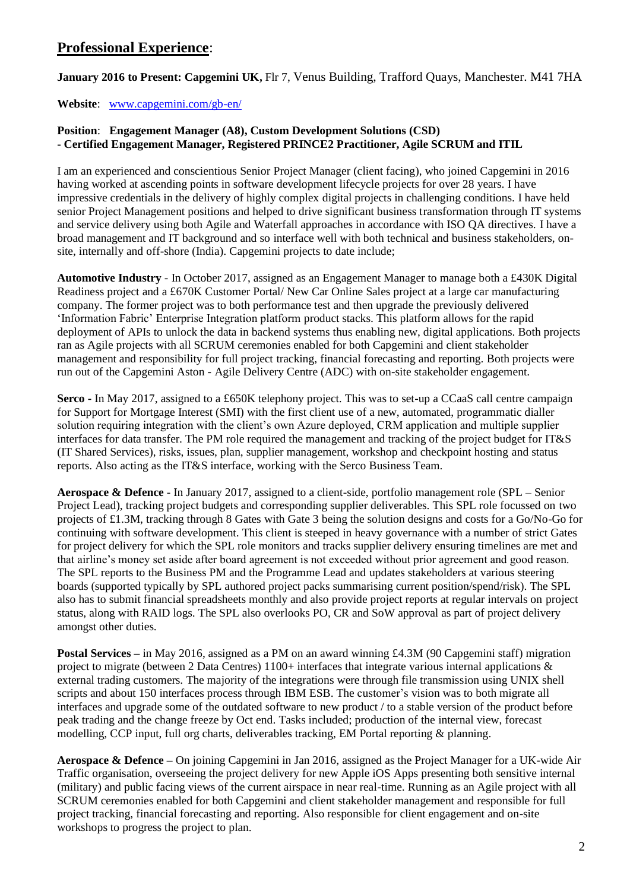# **Professional Experience**:

**January 2016 to Present: Capgemini UK,** Flr 7, Venus Building, Trafford Quays, Manchester. M41 7HA

**Website**: [www.capgemini.com/gb-en/](http://www.capgemini.com/gb-en/)

## **Position**: **Engagement Manager (A8), Custom Development Solutions (CSD) - Certified Engagement Manager, Registered PRINCE2 Practitioner, Agile SCRUM and ITIL**

I am an experienced and conscientious Senior Project Manager (client facing), who joined Capgemini in 2016 having worked at ascending points in software development lifecycle projects for over 28 years. I have impressive credentials in the delivery of highly complex digital projects in challenging conditions. I have held senior Project Management positions and helped to drive significant business transformation through IT systems and service delivery using both Agile and Waterfall approaches in accordance with ISO QA directives. I have a broad management and IT background and so interface well with both technical and business stakeholders, onsite, internally and off-shore (India). Capgemini projects to date include;

**Automotive Industry** - In October 2017, assigned as an Engagement Manager to manage both a £430K Digital Readiness project and a £670K Customer Portal/ New Car Online Sales project at a large car manufacturing company. The former project was to both performance test and then upgrade the previously delivered 'Information Fabric' Enterprise Integration platform product stacks. This platform allows for the rapid deployment of APIs to unlock the data in backend systems thus enabling new, digital applications. Both projects ran as Agile projects with all SCRUM ceremonies enabled for both Capgemini and client stakeholder management and responsibility for full project tracking, financial forecasting and reporting. Both projects were run out of the Capgemini Aston - Agile Delivery Centre (ADC) with on-site stakeholder engagement.

**Serco -** In May 2017, assigned to a £650K telephony project. This was to set-up a CCaaS call centre campaign for Support for Mortgage Interest (SMI) with the first client use of a new, automated, programmatic dialler solution requiring integration with the client's own Azure deployed, CRM application and multiple supplier interfaces for data transfer. The PM role required the management and tracking of the project budget for IT&S (IT Shared Services), risks, issues, plan, supplier management, workshop and checkpoint hosting and status reports. Also acting as the IT&S interface, working with the Serco Business Team.

**Aerospace & Defence** - In January 2017, assigned to a client-side, portfolio management role (SPL – Senior Project Lead), tracking project budgets and corresponding supplier deliverables. This SPL role focussed on two projects of £1.3M, tracking through 8 Gates with Gate 3 being the solution designs and costs for a Go/No-Go for continuing with software development. This client is steeped in heavy governance with a number of strict Gates for project delivery for which the SPL role monitors and tracks supplier delivery ensuring timelines are met and that airline's money set aside after board agreement is not exceeded without prior agreement and good reason. The SPL reports to the Business PM and the Programme Lead and updates stakeholders at various steering boards (supported typically by SPL authored project packs summarising current position/spend/risk). The SPL also has to submit financial spreadsheets monthly and also provide project reports at regular intervals on project status, along with RAID logs. The SPL also overlooks PO, CR and SoW approval as part of project delivery amongst other duties.

**Postal Services –** in May 2016, assigned as a PM on an award winning £4.3M (90 Capgemini staff) migration project to migrate (between 2 Data Centres)  $1100+$  interfaces that integrate various internal applications  $\&$ external trading customers. The majority of the integrations were through file transmission using UNIX shell scripts and about 150 interfaces process through IBM ESB. The customer's vision was to both migrate all interfaces and upgrade some of the outdated software to new product / to a stable version of the product before peak trading and the change freeze by Oct end. Tasks included; production of the internal view, forecast modelling, CCP input, full org charts, deliverables tracking, EM Portal reporting & planning.

**Aerospace & Defence –** On joining Capgemini in Jan 2016, assigned as the Project Manager for a UK-wide Air Traffic organisation, overseeing the project delivery for new Apple iOS Apps presenting both sensitive internal (military) and public facing views of the current airspace in near real-time. Running as an Agile project with all SCRUM ceremonies enabled for both Capgemini and client stakeholder management and responsible for full project tracking, financial forecasting and reporting. Also responsible for client engagement and on-site workshops to progress the project to plan.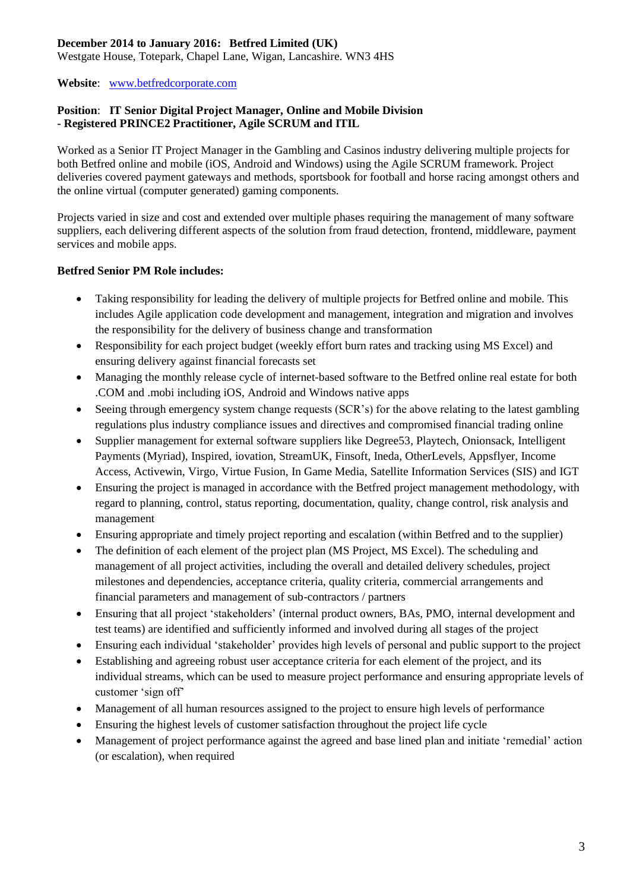### **December 2014 to January 2016: Betfred Limited (UK)**

Westgate House, Totepark, Chapel Lane, Wigan, Lancashire. WN3 4HS

**Website**: [www.betfredcorporate.com](http://www.betfredcorporate.com/)

#### **Position**: **IT Senior Digital Project Manager, Online and Mobile Division - Registered PRINCE2 Practitioner, Agile SCRUM and ITIL**

Worked as a Senior IT Project Manager in the Gambling and Casinos industry delivering multiple projects for both Betfred online and mobile (iOS, Android and Windows) using the Agile SCRUM framework. Project deliveries covered payment gateways and methods, sportsbook for football and horse racing amongst others and the online virtual (computer generated) gaming components.

Projects varied in size and cost and extended over multiple phases requiring the management of many software suppliers, each delivering different aspects of the solution from fraud detection, frontend, middleware, payment services and mobile apps.

### **Betfred Senior PM Role includes:**

- Taking responsibility for leading the delivery of multiple projects for Betfred online and mobile. This includes Agile application code development and management, integration and migration and involves the responsibility for the delivery of business change and transformation
- Responsibility for each project budget (weekly effort burn rates and tracking using MS Excel) and ensuring delivery against financial forecasts set
- Managing the monthly release cycle of internet-based software to the Betfred online real estate for both .COM and .mobi including iOS, Android and Windows native apps
- Seeing through emergency system change requests (SCR's) for the above relating to the latest gambling regulations plus industry compliance issues and directives and compromised financial trading online
- Supplier management for external software suppliers like Degree53, Playtech, Onionsack, Intelligent Payments (Myriad), Inspired, iovation, StreamUK, Finsoft, Ineda, OtherLevels, Appsflyer, Income Access, Activewin, Virgo, Virtue Fusion, In Game Media, Satellite Information Services (SIS) and IGT
- Ensuring the project is managed in accordance with the Betfred project management methodology, with regard to planning, control, status reporting, documentation, quality, change control, risk analysis and management
- Ensuring appropriate and timely project reporting and escalation (within Betfred and to the supplier)
- The definition of each element of the project plan (MS Project, MS Excel). The scheduling and management of all project activities, including the overall and detailed delivery schedules, project milestones and dependencies, acceptance criteria, quality criteria, commercial arrangements and financial parameters and management of sub-contractors / partners
- Ensuring that all project 'stakeholders' (internal product owners, BAs, PMO, internal development and test teams) are identified and sufficiently informed and involved during all stages of the project
- Ensuring each individual 'stakeholder' provides high levels of personal and public support to the project
- Establishing and agreeing robust user acceptance criteria for each element of the project, and its individual streams, which can be used to measure project performance and ensuring appropriate levels of customer 'sign off'
- Management of all human resources assigned to the project to ensure high levels of performance
- Ensuring the highest levels of customer satisfaction throughout the project life cycle
- Management of project performance against the agreed and base lined plan and initiate 'remedial' action (or escalation), when required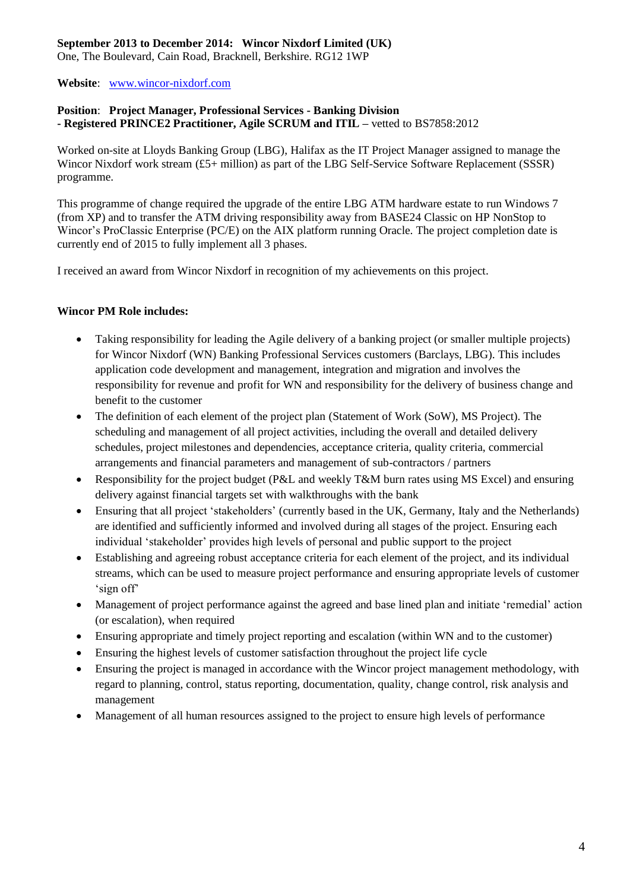# **September 2013 to December 2014: Wincor Nixdorf Limited (UK)**

One, The Boulevard, Cain Road, Bracknell, Berkshire. RG12 1WP

**Website**: [www.wincor-nixdorf.com](http://www.wincor-nixdorf.com/)

#### **Position**: **Project Manager, Professional Services - Banking Division - Registered PRINCE2 Practitioner, Agile SCRUM and ITIL –** vetted to BS7858:2012

Worked on-site at Lloyds Banking Group (LBG), Halifax as the IT Project Manager assigned to manage the Wincor Nixdorf work stream (£5+ million) as part of the LBG Self-Service Software Replacement (SSSR) programme.

This programme of change required the upgrade of the entire LBG ATM hardware estate to run Windows 7 (from XP) and to transfer the ATM driving responsibility away from BASE24 Classic on HP NonStop to Wincor's ProClassic Enterprise (PC/E) on the AIX platform running Oracle. The project completion date is currently end of 2015 to fully implement all 3 phases.

I received an award from Wincor Nixdorf in recognition of my achievements on this project.

#### **Wincor PM Role includes:**

- Taking responsibility for leading the Agile delivery of a banking project (or smaller multiple projects) for Wincor Nixdorf (WN) Banking Professional Services customers (Barclays, LBG). This includes application code development and management, integration and migration and involves the responsibility for revenue and profit for WN and responsibility for the delivery of business change and benefit to the customer
- The definition of each element of the project plan (Statement of Work (SoW), MS Project). The scheduling and management of all project activities, including the overall and detailed delivery schedules, project milestones and dependencies, acceptance criteria, quality criteria, commercial arrangements and financial parameters and management of sub-contractors / partners
- Responsibility for the project budget (P&L and weekly T&M burn rates using MS Excel) and ensuring delivery against financial targets set with walkthroughs with the bank
- Ensuring that all project 'stakeholders' (currently based in the UK, Germany, Italy and the Netherlands) are identified and sufficiently informed and involved during all stages of the project. Ensuring each individual 'stakeholder' provides high levels of personal and public support to the project
- Establishing and agreeing robust acceptance criteria for each element of the project, and its individual streams, which can be used to measure project performance and ensuring appropriate levels of customer 'sign off'
- Management of project performance against the agreed and base lined plan and initiate 'remedial' action (or escalation), when required
- Ensuring appropriate and timely project reporting and escalation (within WN and to the customer)
- Ensuring the highest levels of customer satisfaction throughout the project life cycle
- Ensuring the project is managed in accordance with the Wincor project management methodology, with regard to planning, control, status reporting, documentation, quality, change control, risk analysis and management
- Management of all human resources assigned to the project to ensure high levels of performance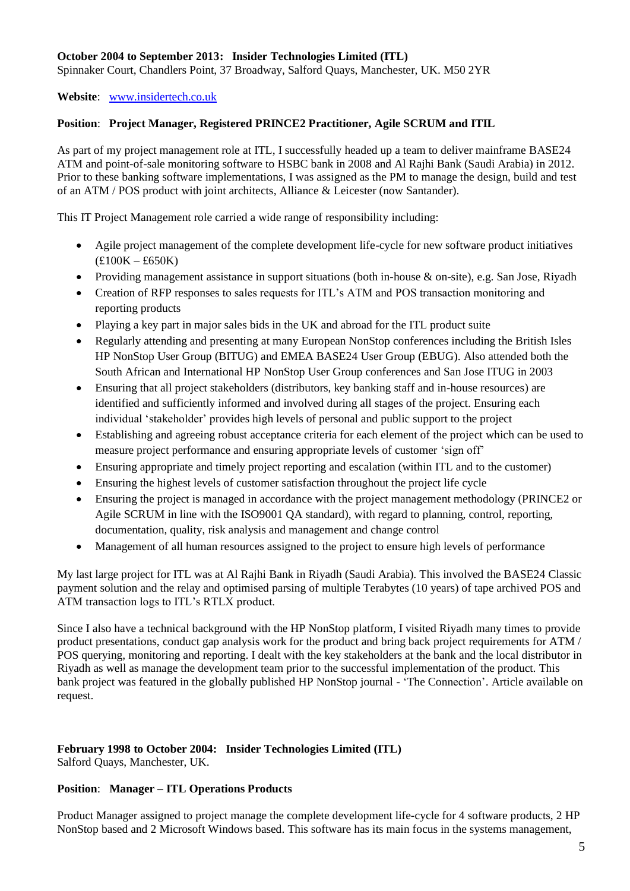#### **October 2004 to September 2013: Insider Technologies Limited (ITL)**

Spinnaker Court, Chandlers Point, 37 Broadway, Salford Quays, Manchester, UK. M50 2YR

#### **Website**: [www.insidertech.co.uk](http://www.insidertech.co.uk/)

#### **Position**: **Project Manager, Registered PRINCE2 Practitioner, Agile SCRUM and ITIL**

As part of my project management role at ITL, I successfully headed up a team to deliver mainframe BASE24 ATM and point-of-sale monitoring software to HSBC bank in 2008 and Al Rajhi Bank (Saudi Arabia) in 2012. Prior to these banking software implementations, I was assigned as the PM to manage the design, build and test of an ATM / POS product with joint architects, Alliance & Leicester (now Santander).

This IT Project Management role carried a wide range of responsibility including:

- Agile project management of the complete development life-cycle for new software product initiatives (£100K – £650K)
- Providing management assistance in support situations (both in-house & on-site), e.g. San Jose, Riyadh
- Creation of RFP responses to sales requests for ITL's ATM and POS transaction monitoring and reporting products
- Playing a key part in major sales bids in the UK and abroad for the ITL product suite
- Regularly attending and presenting at many European NonStop conferences including the British Isles HP NonStop User Group (BITUG) and EMEA BASE24 User Group (EBUG). Also attended both the South African and International HP NonStop User Group conferences and San Jose ITUG in 2003
- Ensuring that all project stakeholders (distributors, key banking staff and in-house resources) are identified and sufficiently informed and involved during all stages of the project. Ensuring each individual 'stakeholder' provides high levels of personal and public support to the project
- Establishing and agreeing robust acceptance criteria for each element of the project which can be used to measure project performance and ensuring appropriate levels of customer 'sign off'
- Ensuring appropriate and timely project reporting and escalation (within ITL and to the customer)
- Ensuring the highest levels of customer satisfaction throughout the project life cycle
- Ensuring the project is managed in accordance with the project management methodology (PRINCE2 or Agile SCRUM in line with the ISO9001 QA standard), with regard to planning, control, reporting, documentation, quality, risk analysis and management and change control
- Management of all human resources assigned to the project to ensure high levels of performance

My last large project for ITL was at Al Rajhi Bank in Riyadh (Saudi Arabia). This involved the BASE24 Classic payment solution and the relay and optimised parsing of multiple Terabytes (10 years) of tape archived POS and ATM transaction logs to ITL's RTLX product.

Since I also have a technical background with the HP NonStop platform, I visited Riyadh many times to provide product presentations, conduct gap analysis work for the product and bring back project requirements for ATM / POS querying, monitoring and reporting. I dealt with the key stakeholders at the bank and the local distributor in Riyadh as well as manage the development team prior to the successful implementation of the product. This bank project was featured in the globally published HP NonStop journal - 'The Connection'. Article available on request.

#### **February 1998 to October 2004: Insider Technologies Limited (ITL)** Salford Quays, Manchester, UK.

#### **Position**: **Manager – ITL Operations Products**

Product Manager assigned to project manage the complete development life-cycle for 4 software products, 2 HP NonStop based and 2 Microsoft Windows based. This software has its main focus in the systems management,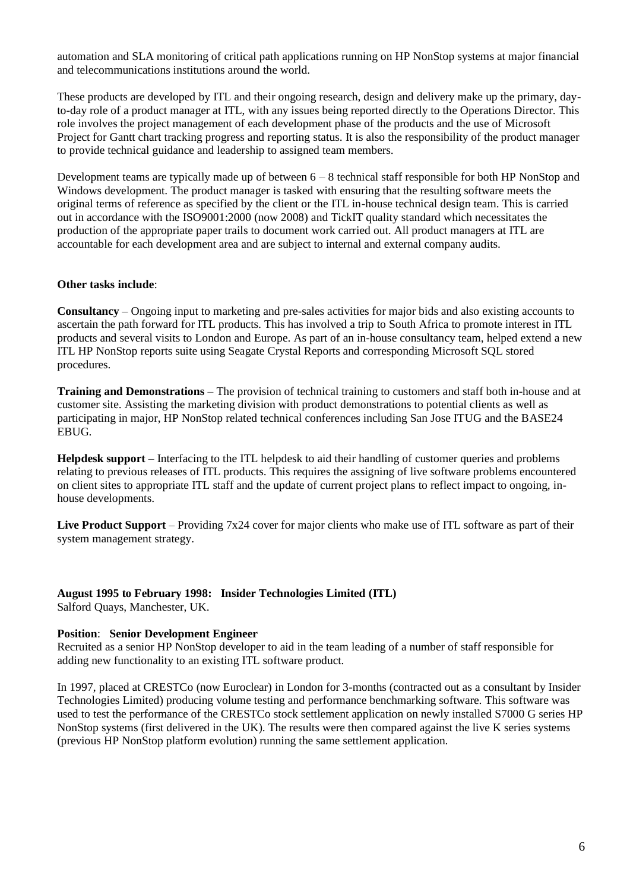automation and SLA monitoring of critical path applications running on HP NonStop systems at major financial and telecommunications institutions around the world.

These products are developed by ITL and their ongoing research, design and delivery make up the primary, dayto-day role of a product manager at ITL, with any issues being reported directly to the Operations Director. This role involves the project management of each development phase of the products and the use of Microsoft Project for Gantt chart tracking progress and reporting status. It is also the responsibility of the product manager to provide technical guidance and leadership to assigned team members.

Development teams are typically made up of between 6 – 8 technical staff responsible for both HP NonStop and Windows development. The product manager is tasked with ensuring that the resulting software meets the original terms of reference as specified by the client or the ITL in-house technical design team. This is carried out in accordance with the ISO9001:2000 (now 2008) and TickIT quality standard which necessitates the production of the appropriate paper trails to document work carried out. All product managers at ITL are accountable for each development area and are subject to internal and external company audits.

#### **Other tasks include**:

**Consultancy** – Ongoing input to marketing and pre-sales activities for major bids and also existing accounts to ascertain the path forward for ITL products. This has involved a trip to South Africa to promote interest in ITL products and several visits to London and Europe. As part of an in-house consultancy team, helped extend a new ITL HP NonStop reports suite using Seagate Crystal Reports and corresponding Microsoft SQL stored procedures.

**Training and Demonstrations** – The provision of technical training to customers and staff both in-house and at customer site. Assisting the marketing division with product demonstrations to potential clients as well as participating in major, HP NonStop related technical conferences including San Jose ITUG and the BASE24 EBUG.

**Helpdesk support** – Interfacing to the ITL helpdesk to aid their handling of customer queries and problems relating to previous releases of ITL products. This requires the assigning of live software problems encountered on client sites to appropriate ITL staff and the update of current project plans to reflect impact to ongoing, inhouse developments.

**Live Product Support** – Providing 7x24 cover for major clients who make use of ITL software as part of their system management strategy.

### **August 1995 to February 1998: Insider Technologies Limited (ITL)**

Salford Quays, Manchester, UK.

#### **Position**: **Senior Development Engineer**

Recruited as a senior HP NonStop developer to aid in the team leading of a number of staff responsible for adding new functionality to an existing ITL software product.

In 1997, placed at CRESTCo (now Euroclear) in London for 3-months (contracted out as a consultant by Insider Technologies Limited) producing volume testing and performance benchmarking software. This software was used to test the performance of the CRESTCo stock settlement application on newly installed S7000 G series HP NonStop systems (first delivered in the UK). The results were then compared against the live K series systems (previous HP NonStop platform evolution) running the same settlement application.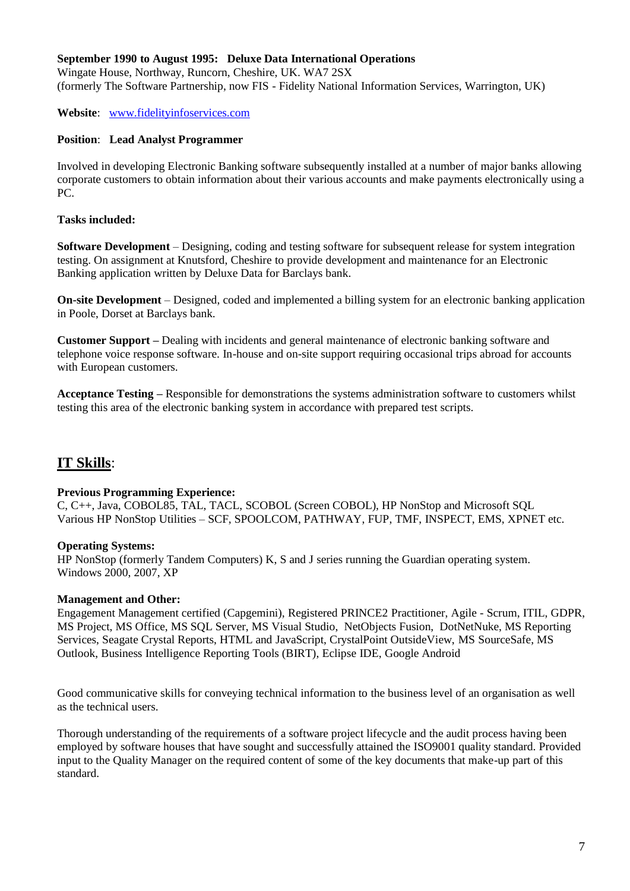#### **September 1990 to August 1995: Deluxe Data International Operations**

Wingate House, Northway, Runcorn, Cheshire, UK. WA7 2SX (formerly The Software Partnership, now FIS - Fidelity National Information Services, Warrington, UK)

**Website**: [www.fidelityinfoservices.com](http://www.fidelityinfoservices.com/)

#### **Position**: **Lead Analyst Programmer**

Involved in developing Electronic Banking software subsequently installed at a number of major banks allowing corporate customers to obtain information about their various accounts and make payments electronically using a PC.

#### **Tasks included:**

**Software Development** – Designing, coding and testing software for subsequent release for system integration testing. On assignment at Knutsford, Cheshire to provide development and maintenance for an Electronic Banking application written by Deluxe Data for Barclays bank.

**On-site Development** – Designed, coded and implemented a billing system for an electronic banking application in Poole, Dorset at Barclays bank.

**Customer Support –** Dealing with incidents and general maintenance of electronic banking software and telephone voice response software. In-house and on-site support requiring occasional trips abroad for accounts with European customers.

**Acceptance Testing –** Responsible for demonstrations the systems administration software to customers whilst testing this area of the electronic banking system in accordance with prepared test scripts.

# **IT Skills**:

#### **Previous Programming Experience:**

C, C++, Java, COBOL85, TAL, TACL, SCOBOL (Screen COBOL), HP NonStop and Microsoft SQL Various HP NonStop Utilities – SCF, SPOOLCOM, PATHWAY, FUP, TMF, INSPECT, EMS, XPNET etc.

#### **Operating Systems:**

HP NonStop (formerly Tandem Computers) K, S and J series running the Guardian operating system. Windows 2000, 2007, XP

#### **Management and Other:**

Engagement Management certified (Capgemini), Registered PRINCE2 Practitioner, Agile - Scrum, ITIL, GDPR, MS Project, MS Office, MS SQL Server, MS Visual Studio, NetObjects Fusion, DotNetNuke, MS Reporting Services, Seagate Crystal Reports, HTML and JavaScript, CrystalPoint OutsideView, MS SourceSafe, MS Outlook, Business Intelligence Reporting Tools (BIRT), Eclipse IDE, Google Android

Good communicative skills for conveying technical information to the business level of an organisation as well as the technical users.

Thorough understanding of the requirements of a software project lifecycle and the audit process having been employed by software houses that have sought and successfully attained the ISO9001 quality standard. Provided input to the Quality Manager on the required content of some of the key documents that make-up part of this standard.